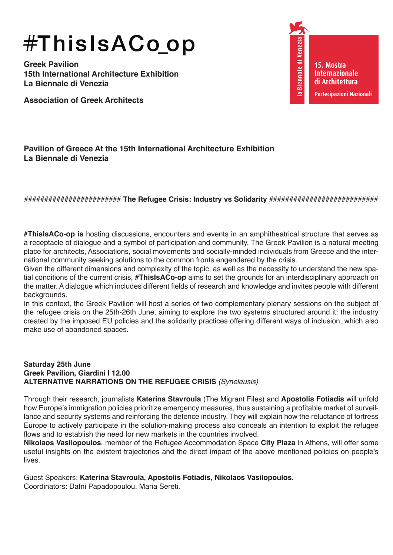# #ThisIsACoop

**Greek Pavilion 15th International Architecture Exhibition La Βiennale di Venezia** 

**Association of Greek Architects**

Venezia la Biennale di **15. Mostra Internazionale di Architettura Partecipazioni Nazionali**

## **Pavilion of Greece At the 15th International Architecture Exhibition La Biennale di Venezia**

## ######################## **The Refugee Crisis: Industry vs Solidarity** ###########################

**#ThisIsACo-op is** hosting discussions, encounters and events in an amphitheatrical structure that serves as a receptacle of dialogue and a symbol of participation and community. The Greek Pavilion is a natural meeting place for architects, Associations, social movements and socially-minded individuals from Greece and the international community seeking solutions to the common fronts engendered by the crisis.

Given the different dimensions and complexity of the topic, as well as the necessity to understand the new spatial conditions of the current crisis, **#ThisIsACo-op** aims to set the grounds for an interdisciplinary approach on the matter. A dialogue which includes different fields of research and knowledge and invites people with different backgrounds.

In this context, the Greek Pavilion will host a series of two complementary plenary sessions on the subject of the refugee crisis on the 25th-26th June, aiming to explore the two systems structured around it: the industry created by the imposed EU policies and the solidarity practices offering different ways of inclusion, which also make use of abandoned spaces.

### **Saturday 25th June Greek Pavilion, Giardini | 12.00 ALTERNATIVE NARRATIONS ON THE REFUGEE CRISIS** *(Syneleusis)*

Through their research, journalists **Katerina Stavroula** (The Migrant Files) and **Apostolis Fotiadis** will unfold how Europe's immigration policies prioritize emergency measures, thus sustaining a profitable market of surveillance and security systems and reinforcing the defence industry. They will explain how the reluctance of fortress Europe to actively participate in the solution-making process also conceals an intention to exploit the refugee flows and to establish the need for new markets in the countries involved.

**Nikolaos Vasilopoulos**, member of the Refugee Accommodation Space **City Plaza** in Athens, will offer some useful insights on the existent trajectories and the direct impact of the above mentioned policies on people's lives.

Guest Speakers: **Katerina Stavroula, Apostolis Fotiadis, Nikolaos Vasilopoulos**.

Coordinators: Dafni Papadopoulou, Maria Sereti.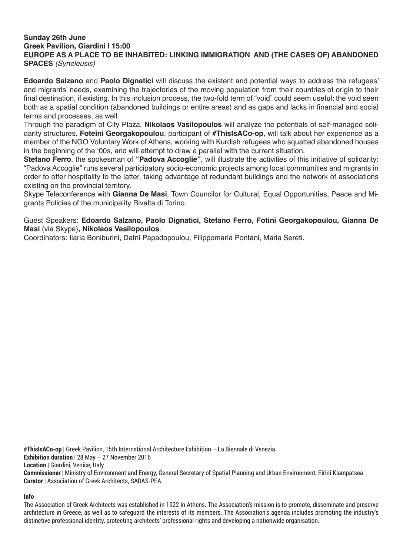### **Sunday 26th June Greek Pavilion, Giardini | 15:00 EUROPE AS A PLACE TO BE INHABITED: LINKING IMMIGRATION AND (THE CASES OF) ABANDONED SPACES** *(Syneleusis)*

**Edoardo Salzano** and **Paolo Dignatici** will discuss the existent and potential ways to address the refugees' and migrants' needs, examining the trajectories of the moving population from their countries of origin to their final destination, if existing. In this inclusion process, the two-fold term of "void" could seem useful: the void seen both as a spatial condition (abandoned buildings or entire areas) and as gaps and lacks in financial and social terms and processes, as well.

Through the paradigm of City Plaza, **Nikolaos Vasilopoulos** will analyze the potentials of self-managed solidarity structures. **Foteini Georgakopoulou**, participant of **#ThisIsACo-op**, will talk about her experience as a member of the NGO Voluntary Work of Athens, working with Kurdish refugees who squatted abandoned houses in the beginning of the '00s, and will attempt to draw a parallel with the current situation.

**Stefano Ferro**, the spokesman of **"Padova Accoglie"**, will illustrate the activities of this initiative of solidarity: "Padova Accoglie" runs several participatory socio-economic projects among local communities and migrants in order to offer hospitality to the latter, taking advantage of redundant buildings and the network of associations existing on the provincial territory.

Skype Teleconference with **Gianna De Masi**, Town Councilor for Cultural, Equal Opportunities, Peace and Migrants Policies of the municipality Rivalta di Torino.

Guest Speakers: **Edoardo Salzano, Paolo Dignatici, Stefano Ferro, Fotini Georgakopoulou, Gianna De Masi** (via Skype)**, Nikolaos Vasilopoulos**.

Coordinators: Ilaria Boniburini, Dafni Papadopoulou, Filippomaria Pontani, Maria Sereti.

**#ThisIsACo-op |** Greek Pavilion, 15th International Architecture Exhibition – La Biennale di Venezia **Exhibition duration** | 28 May – 27 November 2016 **Location** | Giardini, Venice, Italy **Commissioner** | Ministry of Environment and Energy, General Secretary of Spatial Planning and Urban Environment, Eirini Klampatsea **Curator** | Association of Greek Architects, SADAS-PEA

**Info**

The Association of Greek Architects was established in 1922 in Athens. The Association's mission is to promote, disseminate and preserve architecture in Greece, as well as to safeguard the interests of its members. The Association's agenda includes promoting the industry's distinctive professional identity, protecting architects' professional rights and developing a nationwide organisation.